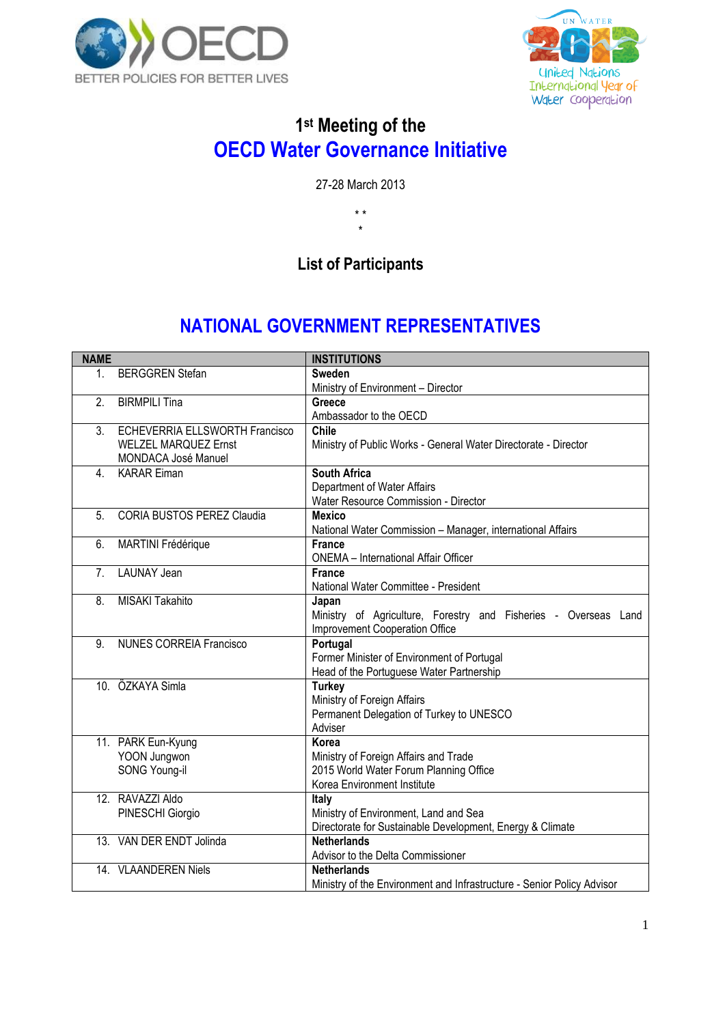



### **1 st Meeting of the OECD Water Governance Initiative**

27-28 March 2013

\* \* \*

## **List of Participants**

# **NATIONAL GOVERNMENT REPRESENTATIVES**

| <b>NAME</b>      |                                       | <b>INSTITUTIONS</b>                                                    |
|------------------|---------------------------------------|------------------------------------------------------------------------|
| $1_{-}$          | <b>BERGGREN Stefan</b>                | <b>Sweden</b>                                                          |
|                  |                                       | Ministry of Environment - Director                                     |
| 2.               | <b>BIRMPILI Tina</b>                  | Greece                                                                 |
|                  |                                       | Ambassador to the OECD                                                 |
| 3 <sub>l</sub>   | <b>ECHEVERRIA ELLSWORTH Francisco</b> | <b>Chile</b>                                                           |
|                  | <b>WELZEL MARQUEZ Ernst</b>           | Ministry of Public Works - General Water Directorate - Director        |
|                  | MONDACA José Manuel                   |                                                                        |
| $\overline{4}$ . | <b>KARAR Eiman</b>                    | <b>South Africa</b>                                                    |
|                  |                                       | Department of Water Affairs                                            |
|                  |                                       | Water Resource Commission - Director                                   |
| 5.               | <b>CORIA BUSTOS PEREZ Claudia</b>     | <b>Mexico</b>                                                          |
|                  |                                       | National Water Commission - Manager, international Affairs             |
| 6.               | <b>MARTINI Frédérique</b>             | <b>France</b>                                                          |
|                  |                                       | <b>ONEMA</b> - International Affair Officer                            |
| 7 <sub>1</sub>   | <b>LAUNAY Jean</b>                    | <b>France</b>                                                          |
|                  |                                       | National Water Committee - President                                   |
| 8.               | <b>MISAKI Takahito</b>                | Japan                                                                  |
|                  |                                       | Ministry of Agriculture, Forestry and Fisheries - Overseas Land        |
|                  |                                       | Improvement Cooperation Office                                         |
| 9.               | <b>NUNES CORREIA Francisco</b>        | Portugal                                                               |
|                  |                                       | Former Minister of Environment of Portugal                             |
|                  |                                       | Head of the Portuguese Water Partnership                               |
|                  | 10. ÖZKAYA Simla                      | <b>Turkey</b>                                                          |
|                  |                                       | Ministry of Foreign Affairs                                            |
|                  |                                       | Permanent Delegation of Turkey to UNESCO                               |
|                  |                                       | Adviser                                                                |
|                  | 11. PARK Eun-Kyung                    | Korea                                                                  |
|                  | YOON Jungwon                          | Ministry of Foreign Affairs and Trade                                  |
|                  | SONG Young-il                         | 2015 World Water Forum Planning Office                                 |
|                  |                                       | Korea Environment Institute                                            |
|                  | 12. RAVAZZI Aldo                      | Italy                                                                  |
|                  | PINESCHI Giorgio                      | Ministry of Environment, Land and Sea                                  |
|                  |                                       | Directorate for Sustainable Development, Energy & Climate              |
|                  | 13. VAN DER ENDT Jolinda              | <b>Netherlands</b>                                                     |
|                  |                                       | Advisor to the Delta Commissioner                                      |
|                  | 14. VLAANDEREN Niels                  | <b>Netherlands</b>                                                     |
|                  |                                       | Ministry of the Environment and Infrastructure - Senior Policy Advisor |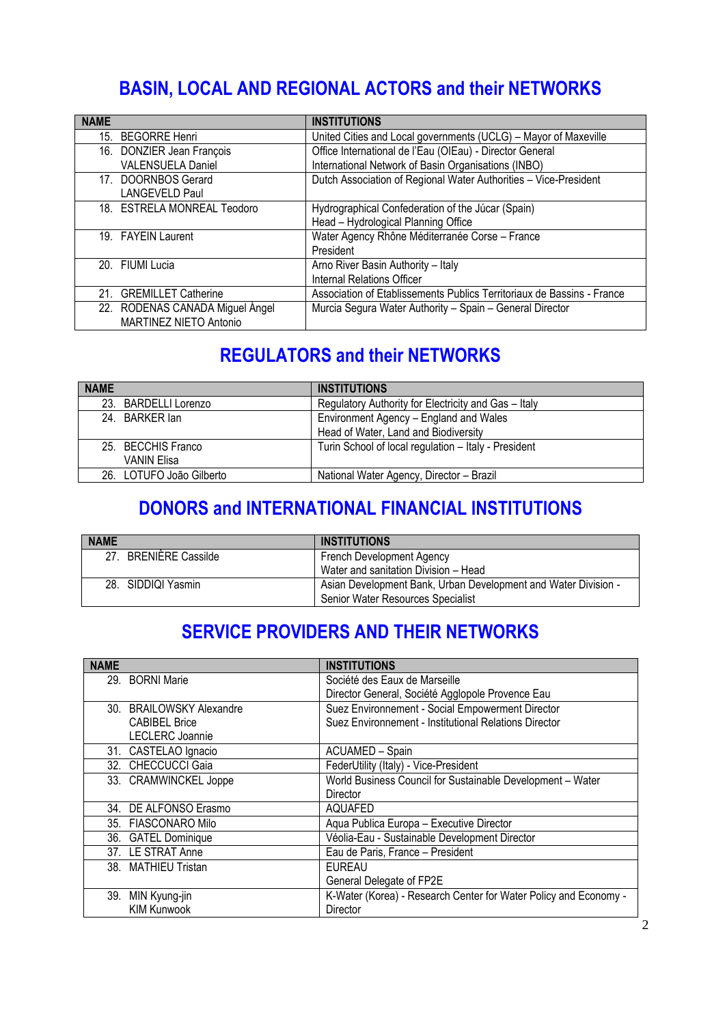# **BASIN, LOCAL AND REGIONAL ACTORS and their NETWORKS**

| <b>NAME</b>                     | <b>INSTITUTIONS</b>                                                    |
|---------------------------------|------------------------------------------------------------------------|
|                                 |                                                                        |
| 15. BEGORRE Henri               | United Cities and Local governments (UCLG) – Mayor of Maxeville        |
| 16. DONZIER Jean François       | Office International de l'Eau (OIEau) - Director General               |
| <b>VALENSUELA Daniel</b>        | International Network of Basin Organisations (INBO)                    |
| 17. DOORNBOS Gerard             | Dutch Association of Regional Water Authorities - Vice-President       |
| <b>LANGEVELD Paul</b>           |                                                                        |
| 18. ESTRELA MONREAL Teodoro     | Hydrographical Confederation of the Júcar (Spain)                      |
|                                 | Head - Hydrological Planning Office                                    |
| 19. FAYEIN Laurent              | Water Agency Rhône Méditerranée Corse - France                         |
|                                 | President                                                              |
| 20. FIUMI Lucia                 | Arno River Basin Authority - Italy                                     |
|                                 | Internal Relations Officer                                             |
| 21. GREMILLET Catherine         | Association of Etablissements Publics Territoriaux de Bassins - France |
| 22. RODENAS CANADA Miguel Ángel | Murcia Segura Water Authority - Spain - General Director               |
| MARTINEZ NIETO Antonio          |                                                                        |

### **REGULATORS and their NETWORKS**

| <b>NAME</b>              | <b>INSTITUTIONS</b>                                  |
|--------------------------|------------------------------------------------------|
| 23. BARDELLI Lorenzo     | Regulatory Authority for Electricity and Gas - Italy |
| 24 BARKER Jan            | Environment Agency - England and Wales               |
|                          | Head of Water, Land and Biodiversity                 |
| 25. BECCHIS Franco       | Turin School of local regulation - Italy - President |
| VANIN Elisa              |                                                      |
| 26. LOTUFO João Gilberto | National Water Agency, Director - Brazil             |

#### **DONORS and INTERNATIONAL FINANCIAL INSTITUTIONS**

| <b>NAME</b>                    | <b>INSTITUTIONS</b>                                            |
|--------------------------------|----------------------------------------------------------------|
| <b>BRENIERE Cassilde</b><br>27 | French Development Agency                                      |
|                                | Water and sanitation Division - Head                           |
| 28. SIDDIQI Yasmin             | Asian Development Bank, Urban Development and Water Division - |
|                                | Senior Water Resources Specialist                              |

### **SERVICE PROVIDERS AND THEIR NETWORKS**

| <b>NAME</b>              | <b>INSTITUTIONS</b>                                              |
|--------------------------|------------------------------------------------------------------|
| 29. BORNI Marie          | Société des Eaux de Marseille                                    |
|                          | Director General, Société Agglopole Provence Eau                 |
| 30. BRAILOWSKY Alexandre | Suez Environnement - Social Empowerment Director                 |
| <b>CABIBEL Brice</b>     | Suez Environnement - Institutional Relations Director            |
| <b>LECLERC</b> Joannie   |                                                                  |
| 31. CASTELAO Ignacio     | ACUAMED - Spain                                                  |
| 32. CHECCUCCI Gaia       | FederUtility (Italy) - Vice-President                            |
| 33. CRAMWINCKEL Joppe    | World Business Council for Sustainable Development - Water       |
|                          | Director                                                         |
| 34. DE ALFONSO Erasmo    | AQUAFED                                                          |
| 35. FIASCONARO Milo      | Aqua Publica Europa - Executive Director                         |
| 36. GATEL Dominique      | Véolia-Eau - Sustainable Development Director                    |
| 37. LE STRAT Anne        | Eau de Paris, France - President                                 |
| 38. MATHIEU Tristan      | <b>FURFAU</b>                                                    |
|                          | General Delegate of FP2E                                         |
| 39.<br>MIN Kyung-jin     | K-Water (Korea) - Research Center for Water Policy and Economy - |
| <b>KIM Kunwook</b>       | <b>Director</b>                                                  |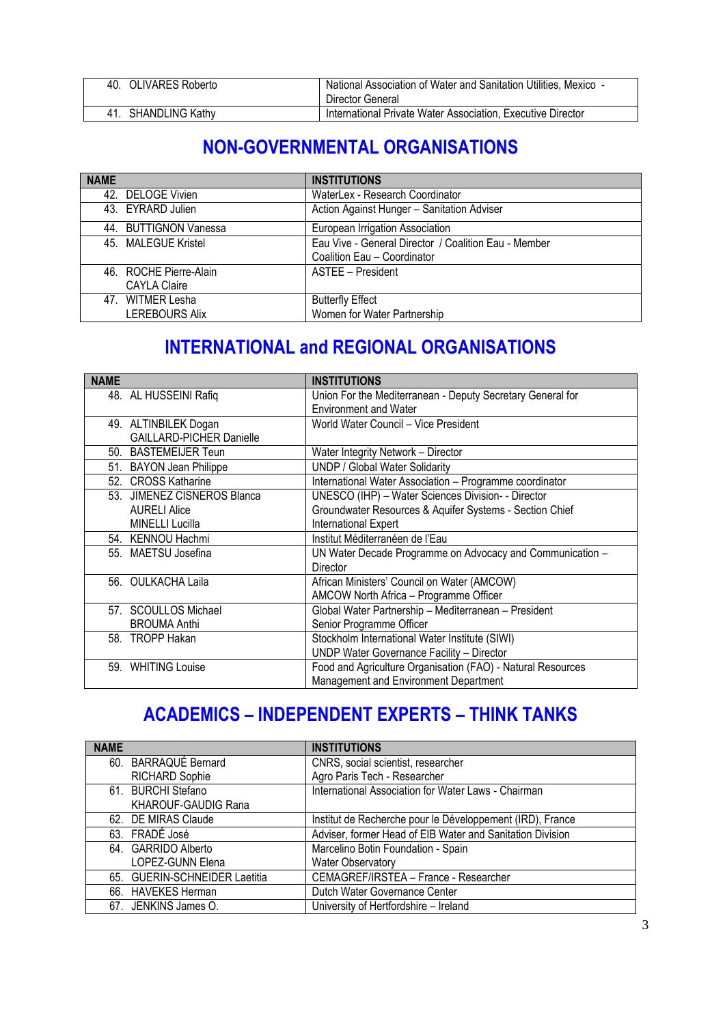| 40. OLIVARES Roberto   | National Association of Water and Sanitation Utilities, Mexico -<br>Director General |
|------------------------|--------------------------------------------------------------------------------------|
| <b>SHANDLING Kathy</b> | International Private Water Association, Executive Director                          |

## **NON-GOVERNMENTAL ORGANISATIONS**

| <b>NAME</b>            | <b>INSTITUTIONS</b>                                  |
|------------------------|------------------------------------------------------|
| 42. DELOGE Vivien      | WaterLex - Research Coordinator                      |
| 43. EYRARD Julien      | Action Against Hunger - Sanitation Adviser           |
| 44. BUTTIGNON Vanessa  | European Irrigation Association                      |
| 45. MALEGUE Kristel    | Eau Vive - General Director / Coalition Eau - Member |
|                        | Coalition Eau - Coordinator                          |
| 46. ROCHE Pierre-Alain | ASTEE - President                                    |
| <b>CAYLA Claire</b>    |                                                      |
| 47. WITMER Lesha       | <b>Butterfly Effect</b>                              |
| LEREBOURS Alix         | Women for Water Partnership                          |

# **INTERNATIONAL and REGIONAL ORGANISATIONS**

| <b>NAME</b>                     | <b>INSTITUTIONS</b>                                         |
|---------------------------------|-------------------------------------------------------------|
| 48. AL HUSSEINI Rafiq           | Union For the Mediterranean - Deputy Secretary General for  |
|                                 | <b>Environment and Water</b>                                |
| 49. ALTINBILEK Dogan            | World Water Council - Vice President                        |
| <b>GAILLARD-PICHER Danielle</b> |                                                             |
| 50. BASTEMEIJER Teun            | Water Integrity Network - Director                          |
| 51. BAYON Jean Philippe         | <b>UNDP / Global Water Solidarity</b>                       |
| 52. CROSS Katharine             | International Water Association - Programme coordinator     |
| 53. JIMENEZ CISNEROS Blanca     | UNESCO (IHP) - Water Sciences Division- - Director          |
| <b>AURELI Alice</b>             | Groundwater Resources & Aquifer Systems - Section Chief     |
| <b>MINELLI Lucilla</b>          | International Expert                                        |
| 54. KENNOU Hachmi               | Institut Méditerranéen de l'Eau                             |
| 55. MAETSU Josefina             | UN Water Decade Programme on Advocacy and Communication -   |
|                                 | Director                                                    |
| 56. OULKACHA Laila              | African Ministers' Council on Water (AMCOW)                 |
|                                 | AMCOW North Africa - Programme Officer                      |
| 57. SCOULLOS Michael            | Global Water Partnership - Mediterranean - President        |
| <b>BROUMA Anthi</b>             | Senior Programme Officer                                    |
| 58. TROPP Hakan                 | Stockholm International Water Institute (SIWI)              |
|                                 | UNDP Water Governance Facility - Director                   |
| 59. WHITING Louise              | Food and Agriculture Organisation (FAO) - Natural Resources |
|                                 | Management and Environment Department                       |

## **ACADEMICS – INDEPENDENT EXPERTS – THINK TANKS**

| <b>NAME</b>                   | <b>INSTITUTIONS</b>                                       |
|-------------------------------|-----------------------------------------------------------|
| 60. BARRAQUÉ Bernard          | CNRS, social scientist, researcher                        |
| <b>RICHARD Sophie</b>         | Agro Paris Tech - Researcher                              |
| 61. BURCHI Stefano            | International Association for Water Laws - Chairman       |
| <b>KHAROUF-GAUDIG Rana</b>    |                                                           |
| 62. DE MIRAS Claude           | Institut de Recherche pour le Développement (IRD), France |
| 63. FRADÉ José                | Adviser, former Head of EIB Water and Sanitation Division |
| 64. GARRIDO Alberto           | Marcelino Botin Foundation - Spain                        |
| LOPEZ-GUNN Elena              | <b>Water Observatory</b>                                  |
| 65. GUERIN-SCHNEIDER Laetitia | CEMAGREF/IRSTEA - France - Researcher                     |
| 66. HAVEKES Herman            | Dutch Water Governance Center                             |
| 67. JENKINS James O.          | University of Hertfordshire - Ireland                     |